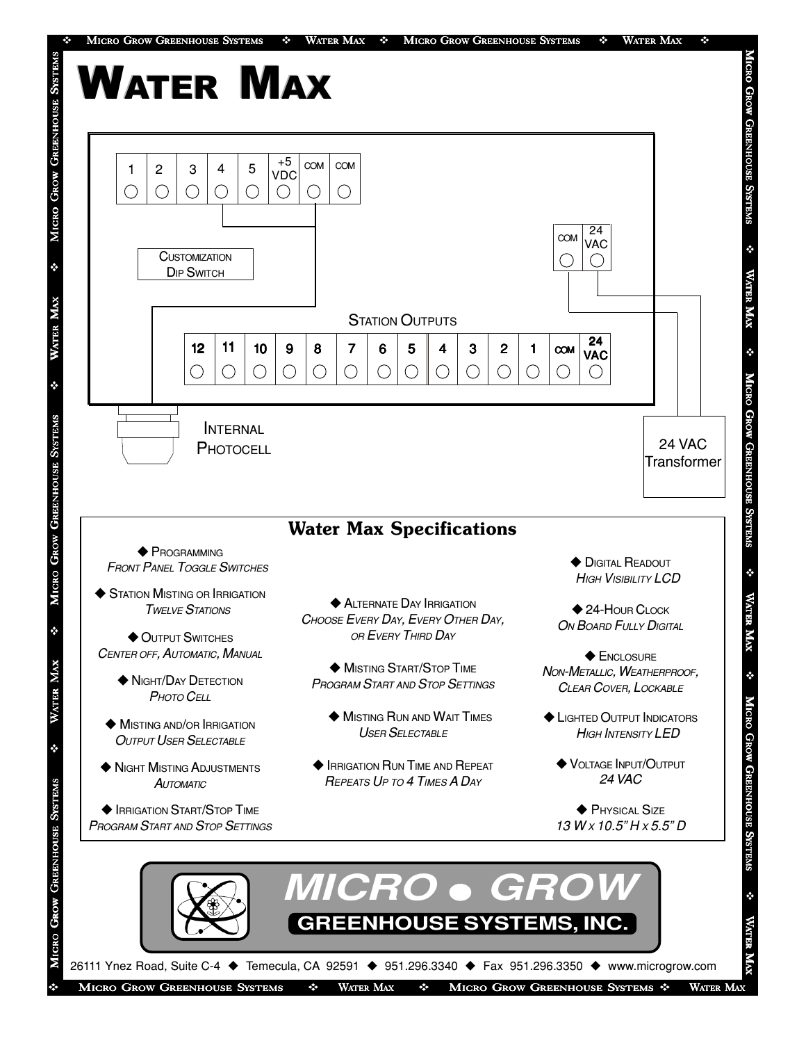

- ◆ OUTPUT SWITCHES CENTER OFF, AUTOMATIC, MANUAL
	- **NIGHT/DAY DETECTION** P<sub>HOTO</sub> C<sub>ELL</sub>
	- $\blacklozenge$  MISTING AND/OR IRRIGATION **OUTPUT USER SELECTABLE**
- **NIGHT MISTING ADJUSTMENTS AUTOMATIC**

**EXPLOSITION START/STOP TIME** PROGRAM START AND STOP SETTINGS

MICRO GROW GREENHOUSE SYSTEMS <sup>2</sup>

نان<br>ئ

XAX

Ř

٠

OR EVERY THIRD DAY

**MISTING START/STOP TIME** PROGRAM START AND STOP SETTINGS

- $\blacklozenge$  MISTING RUN AND WAIT TIMES USER SELECTABLE
- **EXPLOSED IN RUN TIME AND REPEAT** REPEATS U<sup>P</sup> TO 4 TIMES A DAY
- 
- $\blacklozenge$  ENCLOSURE NON-METALLIC, WEATHERPROOF, CLEAR COVER, LOCKABLE
- **ELIGHTED OUTPUT INDICATORS** HIGH INTENSITY LED
	- **VOLTAGE INPUT/OUTPUT** 24 VAC
	- $\blacklozenge$  Physical Size  $13$  W x  $10.5$ " H x 5.5" D



MICRO GROW GREENHOUSE SYSTEMS  $\cdot \cdot$  WATER MAX  $\cdot \cdot$  MICRO GROW GREENHOUSE SYSTEMS  $\cdot \cdot$  WATER MAX

v

MICRO GROW GREENHOUSE SYSTEMS

MICRO GROW GREENHOUSE SYSTEMS

v

WATER MAX

**WATER**